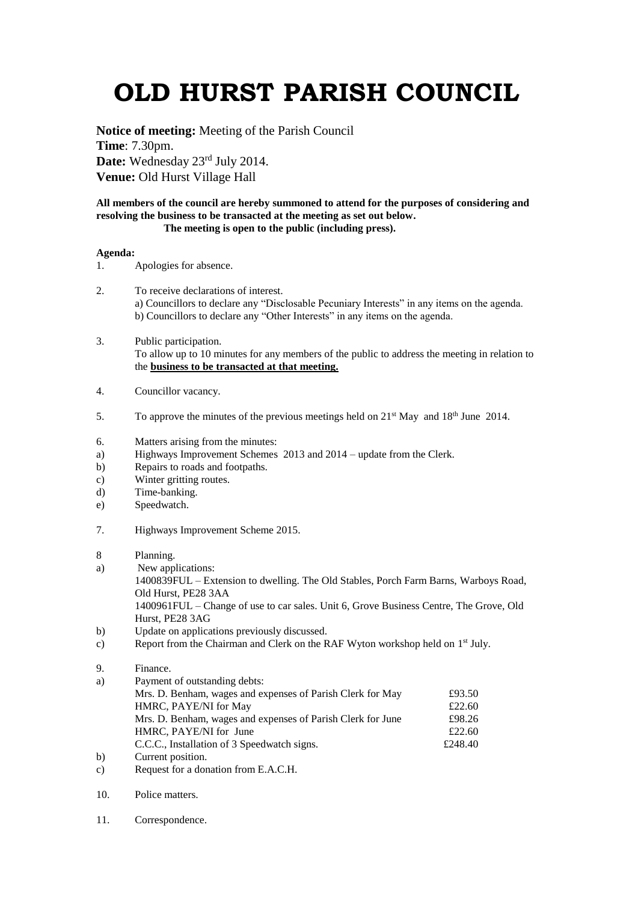## **OLD HURST PARISH COUNCIL**

**Notice of meeting:** Meeting of the Parish Council **Time**: 7.30pm. Date: Wednesday 23<sup>rd</sup> July 2014. **Venue:** Old Hurst Village Hall

**All members of the council are hereby summoned to attend for the purposes of considering and resolving the business to be transacted at the meeting as set out below. The meeting is open to the public (including press).**

## **Agenda:**

- 1. Apologies for absence.
- 2. To receive declarations of interest. a) Councillors to declare any "Disclosable Pecuniary Interests" in any items on the agenda. b) Councillors to declare any "Other Interests" in any items on the agenda.
- 3. Public participation. To allow up to 10 minutes for any members of the public to address the meeting in relation to the **business to be transacted at that meeting.**
- 4. Councillor vacancy.
- 5. To approve the minutes of the previous meetings held on  $21<sup>st</sup>$  May and  $18<sup>th</sup>$  June 2014.
- 6. Matters arising from the minutes:
- a) Highways Improvement Schemes 2013 and 2014 update from the Clerk.
- b) Repairs to roads and footpaths.
- c) Winter gritting routes.
- d) Time-banking.
- e) Speedwatch.
- 7. Highways Improvement Scheme 2015.
- 8 Planning.
- a) New applications: 1400839FUL – Extension to dwelling. The Old Stables, Porch Farm Barns, Warboys Road, Old Hurst, PE28 3AA 1400961FUL – Change of use to car sales. Unit 6, Grove Business Centre, The Grove, Old Hurst, PE28 3AG
- b) Update on applications previously discussed.
- c) Report from the Chairman and Clerk on the RAF Wyton workshop held on 1<sup>st</sup> July.
- 9. Finance.

| a) | Payment of outstanding debts:                               |         |
|----|-------------------------------------------------------------|---------|
|    | Mrs. D. Benham, wages and expenses of Parish Clerk for May  | £93.50  |
|    | HMRC, PAYE/NI for May                                       | £22.60  |
|    | Mrs. D. Benham, wages and expenses of Parish Clerk for June | £98.26  |
|    | HMRC, PAYE/NI for June                                      | £22.60  |
|    | C.C.C., Installation of 3 Speedwatch signs.                 | £248.40 |
| b) | Current position.                                           |         |

- $\epsilon$ ) Request for a donation from E.A.C.H.
- 10. Police matters.
- 11. Correspondence.